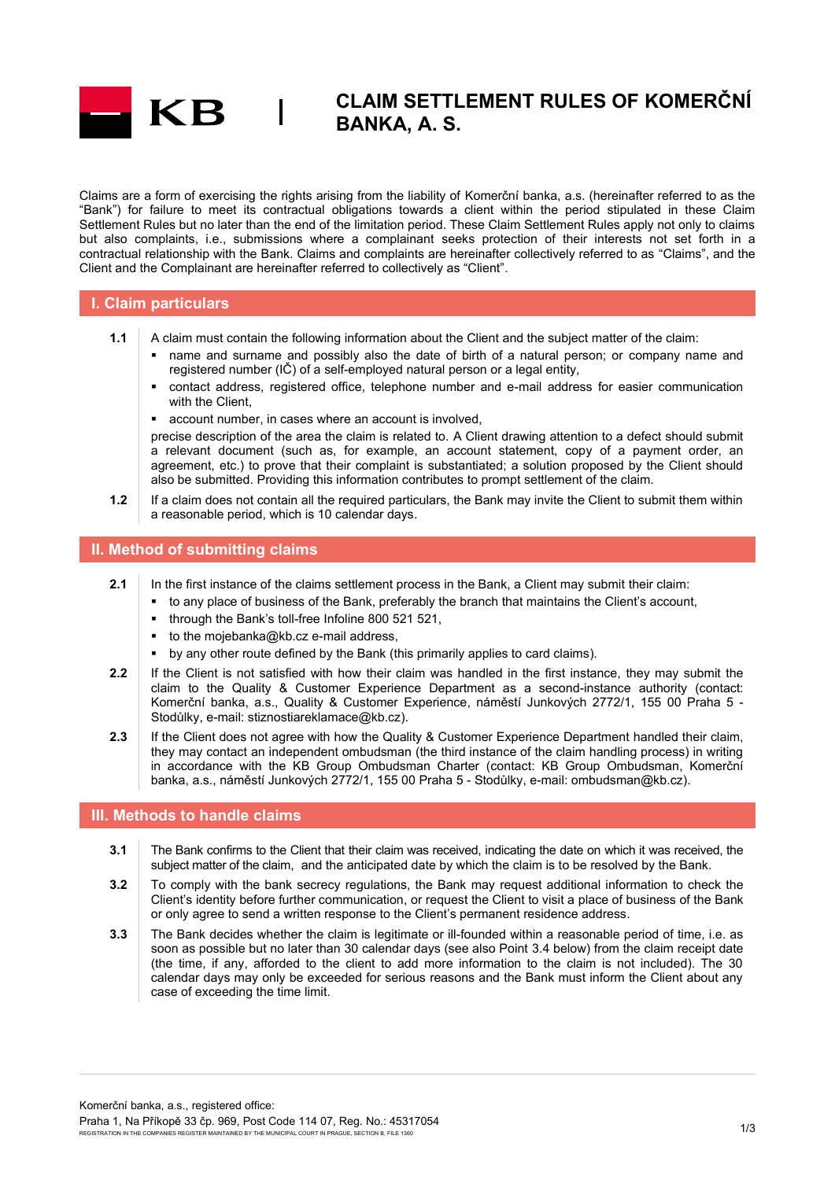

# **CLAIM SETTLEMENT RULES OF KOMERČNÍ BANKA, A. S.**

Claims are a form of exercising the rights arising from the liability of Komerční banka, a.s. (hereinafter referred to as the "Bank") for failure to meet its contractual obligations towards a client within the period stipulated in these Claim Settlement Rules but no later than the end of the limitation period. These Claim Settlement Rules apply not only to claims but also complaints, i.e., submissions where a complainant seeks protection of their interests not set forth in a contractual relationship with the Bank. Claims and complaints are hereinafter collectively referred to as "Claims", and the Client and the Complainant are hereinafter referred to collectively as "Client".

### **I. Claim particulars**

- **1.1** A claim must contain the following information about the Client and the subject matter of the claim:
	- name and surname and possibly also the date of birth of a natural person; or company name and registered number (IČ) of a self-employed natural person or a legal entity,
	- contact address, registered office, telephone number and e-mail address for easier communication with the Client.
	- account number, in cases where an account is involved,

 $\overline{\phantom{a}}$ 

precise description of the area the claim is related to. A Client drawing attention to a defect should submit a relevant document (such as, for example, an account statement, copy of a payment order, an agreement, etc.) to prove that their complaint is substantiated; a solution proposed by the Client should also be submitted. Providing this information contributes to prompt settlement of the claim.

**1.2** If a claim does not contain all the required particulars, the Bank may invite the Client to submit them within a reasonable period, which is 10 calendar days.

#### **II. Method of submitting claims**

- **2.1** In the first instance of the claims settlement process in the Bank, a Client may submit their claim:
	- to any place of business of the Bank, preferably the branch that maintains the Client's account,
	- through the Bank's toll-free Infoline 800 521 521,
	- to the mojebanka@kb.cz e-mail address,
	- by any other route defined by the Bank (this primarily applies to card claims).
- **2.2** If the Client is not satisfied with how their claim was handled in the first instance, they may submit the claim to the Quality & Customer Experience Department as a second-instance authority (contact: Komerční banka, a.s., Quality & Customer Experience, náměstí Junkových 2772/1, 155 00 Praha 5 - Stodůlky, e-mail: stiznostiareklamace@kb.cz).
- 2.3 If the Client does not agree with how the Quality & Customer Experience Department handled their claim, they may contact an independent ombudsman (the third instance of the claim handling process) in writing in accordance with the KB Group Ombudsman Charter (contact: KB Group Ombudsman, Komerční banka, a.s., náměstí Junkových 2772/1, 155 00 Praha 5 - Stodůlky, e-mail: ombudsman@kb.cz).

#### **III. Methods to handle claims**

- **3.1** The Bank confirms to the Client that their claim was received, indicating the date on which it was received, the subject matter of the claim, and the anticipated date by which the claim is to be resolved by the Bank.
- **3.2** To comply with the bank secrecy regulations, the Bank may request additional information to check the Client's identity before further communication, or request the Client to visit a place of business of the Bank or only agree to send a written response to the Client's permanent residence address.
- **3.3** The Bank decides whether the claim is legitimate or ill-founded within a reasonable period of time, i.e. as soon as possible but no later than 30 calendar days (see also Point 3.4 below) from the claim receipt date (the time, if any, afforded to the client to add more information to the claim is not included). The 30 calendar days may only be exceeded for serious reasons and the Bank must inform the Client about any case of exceeding the time limit.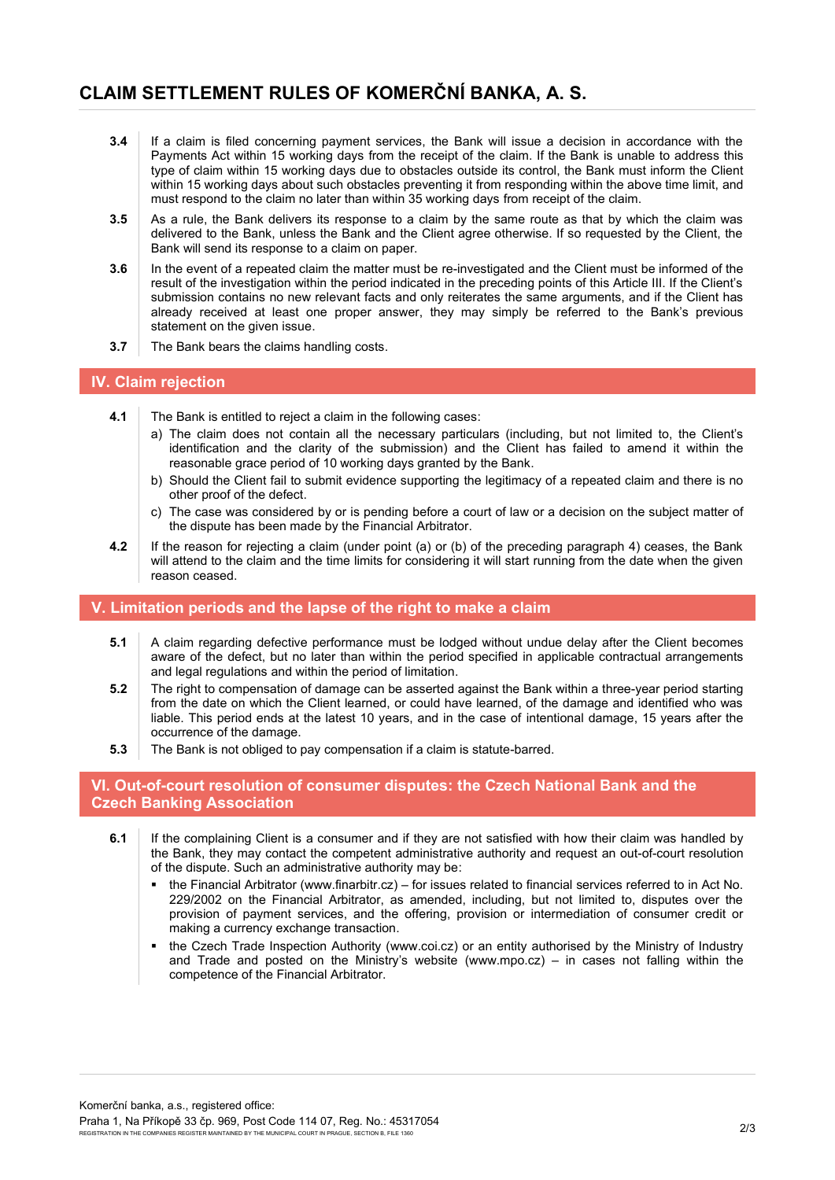## **CLAIM SETTLEMENT RULES OF KOMERČNÍ BANKA, A. S.**

- **3.4** If a claim is filed concerning payment services, the Bank will issue a decision in accordance with the Payments Act within 15 working days from the receipt of the claim. If the Bank is unable to address this type of claim within 15 working days due to obstacles outside its control, the Bank must inform the Client within 15 working days about such obstacles preventing it from responding within the above time limit, and must respond to the claim no later than within 35 working days from receipt of the claim.
- **3.5** As a rule, the Bank delivers its response to a claim by the same route as that by which the claim was delivered to the Bank, unless the Bank and the Client agree otherwise. If so requested by the Client, the Bank will send its response to a claim on paper.
- **3.6** In the event of a repeated claim the matter must be re-investigated and the Client must be informed of the result of the investigation within the period indicated in the preceding points of this Article III. If the Client's submission contains no new relevant facts and only reiterates the same arguments, and if the Client has already received at least one proper answer, they may simply be referred to the Bank's previous statement on the given issue.
- **3.7** The Bank bears the claims handling costs.

### **IV. Claim rejection**

- **4.1** The Bank is entitled to reject a claim in the following cases:
	- a) The claim does not contain all the necessary particulars (including, but not limited to, the Client's identification and the clarity of the submission) and the Client has failed to amend it within the reasonable grace period of 10 working days granted by the Bank.
	- b) Should the Client fail to submit evidence supporting the legitimacy of a repeated claim and there is no other proof of the defect.
	- c) The case was considered by or is pending before a court of law or a decision on the subject matter of the dispute has been made by the Financial Arbitrator.
- **4.2** If the reason for rejecting a claim (under point (a) or (b) of the preceding paragraph 4) ceases, the Bank will attend to the claim and the time limits for considering it will start running from the date when the given reason ceased.

### **V. Limitation periods and the lapse of the right to make a claim**

- **5.1** A claim regarding defective performance must be lodged without undue delay after the Client becomes aware of the defect, but no later than within the period specified in applicable contractual arrangements and legal regulations and within the period of limitation.
- **5.2** The right to compensation of damage can be asserted against the Bank within a three-year period starting from the date on which the Client learned, or could have learned, of the damage and identified who was liable. This period ends at the latest 10 years, and in the case of intentional damage, 15 years after the occurrence of the damage.
- **5.3** The Bank is not obliged to pay compensation if a claim is statute-barred.

#### **VI. Out-of-court resolution of consumer disputes: the Czech National Bank and the Czech Banking Association**

- **6.1** If the complaining Client is a consumer and if they are not satisfied with how their claim was handled by the Bank, they may contact the competent administrative authority and request an out-of-court resolution of the dispute. Such an administrative authority may be:
	- the Financial Arbitrator [\(www.finarbitr.cz\)](http://www.finarbitr.cz/) for issues related to financial services referred to in Act No. 229/2002 on the Financial Arbitrator, as amended, including, but not limited to, disputes over the provision of payment services, and the offering, provision or intermediation of consumer credit or making a currency exchange transaction.
	- the Czech Trade Inspection Authority [\(www.coi.cz\)](http://www.coi.cz/) or an entity authorised by the Ministry of Industry and Trade and posted on the Ministry's website [\(www.mpo.cz\)](http://www.mpo.cz/) – in cases not falling within the competence of the Financial Arbitrator.